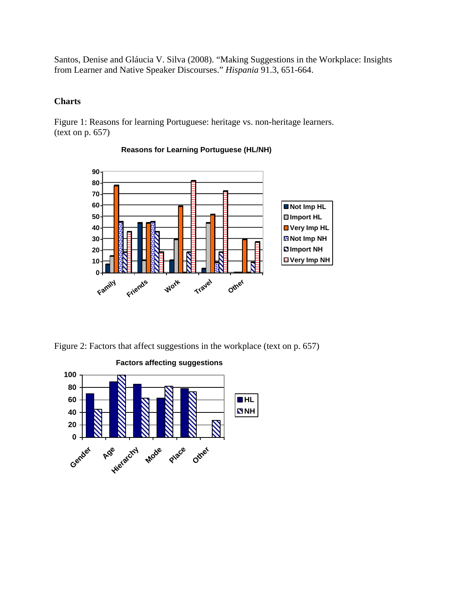Santos, Denise and Gláucia V. Silva (2008). "Making Suggestions in the Workplace: Insights from Learner and Native Speaker Discourses." *Hispania* 91.3, 651-664.

## **Charts**

Figure 1: Reasons for learning Portuguese: heritage vs. non-heritage learners. (text on p. 657)



## **Reasons for Learning Portuguese (HL/NH)**

Figure 2: Factors that affect suggestions in the workplace (text on p. 657)



## **Factors affecting suggestions**